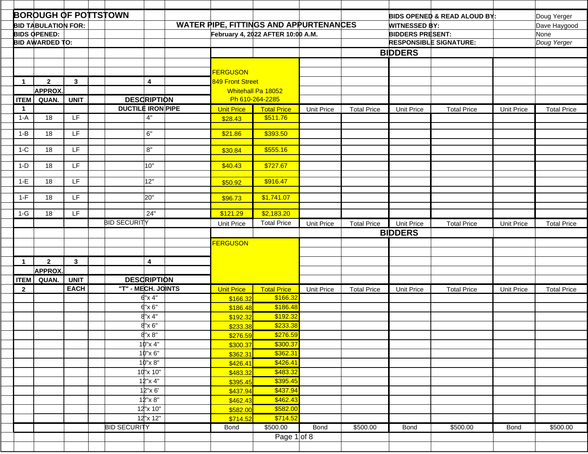|              | <b>BOROUGH OF POTTSTOWN</b> |              |                          |                   |                                        |                   |                    |                         | <b>BIDS OPENED &amp; READ ALOUD BY:</b> |                   | Doug Yerger        |
|--------------|-----------------------------|--------------|--------------------------|-------------------|----------------------------------------|-------------------|--------------------|-------------------------|-----------------------------------------|-------------------|--------------------|
|              | <b>BID TABULATION FOR:</b>  |              |                          |                   | WATER PIPE, FITTINGS AND APPURTENANCES |                   |                    | <b>WITNESSED BY:</b>    |                                         |                   | Dave Haygood       |
|              | <b>BIDS OPENED:</b>         |              |                          |                   | February 4, 2022 AFTER 10:00 A.M.      |                   |                    | <b>BIDDERS PRESENT:</b> |                                         |                   | None               |
|              | <b>BID AWARDED TO:</b>      |              |                          |                   |                                        |                   |                    |                         | <b>RESPONSIBLE SIGNATURE:</b>           |                   | Doug Yerger        |
|              |                             |              |                          |                   |                                        |                   |                    | <b>BIDDERS</b>          |                                         |                   |                    |
|              |                             |              |                          |                   |                                        |                   |                    |                         |                                         |                   |                    |
|              |                             |              |                          | <b>FERGUSON</b>   |                                        |                   |                    |                         |                                         |                   |                    |
| $\mathbf{1}$ | $\overline{2}$              | $\mathbf{3}$ | 4                        | 849 Front Street  |                                        |                   |                    |                         |                                         |                   |                    |
|              | <b>APPROX.</b>              |              |                          |                   | Whitehall Pa 18052                     |                   |                    |                         |                                         |                   |                    |
| <b>ITEM</b>  | QUAN.                       | <b>UNIT</b>  | <b>DESCRIPTION</b>       |                   | Ph 610-264-2285                        |                   |                    |                         |                                         |                   |                    |
| $\mathbf{1}$ |                             |              | <b>DUCTILE IRON PIPE</b> | <b>Unit Price</b> | <b>Total Price</b>                     | <b>Unit Price</b> | <b>Total Price</b> | Unit Price              | <b>Total Price</b>                      | <b>Unit Price</b> | <b>Total Price</b> |
| $1-A$        | 18                          | LF           | 4"                       | \$28.43           | \$511.76                               |                   |                    |                         |                                         |                   |                    |
|              |                             |              |                          |                   |                                        |                   |                    |                         |                                         |                   |                    |
| $1 - B$      | 18                          | <b>LF</b>    | 6"                       | \$21.86           | \$393.50                               |                   |                    |                         |                                         |                   |                    |
|              |                             | LF           | 8"                       |                   |                                        |                   |                    |                         |                                         |                   |                    |
| $1-C$        | 18                          |              |                          | \$30.84           | \$555.16                               |                   |                    |                         |                                         |                   |                    |
| $1-D$        | 18                          | LF.          | 10"                      | \$40.43           | \$727.67                               |                   |                    |                         |                                         |                   |                    |
|              |                             |              |                          |                   |                                        |                   |                    |                         |                                         |                   |                    |
| $1-E$        | 18                          | LF.          | 12"                      | \$50.92           | \$916.47                               |                   |                    |                         |                                         |                   |                    |
|              |                             |              |                          |                   |                                        |                   |                    |                         |                                         |                   |                    |
| $1-F$        | 18                          | LF.          | 20"                      | \$96.73           | \$1,741.07                             |                   |                    |                         |                                         |                   |                    |
| $1-G$        | 18                          | LF           | 24"                      | \$121.29          | \$2,183.20                             |                   |                    |                         |                                         |                   |                    |
|              |                             |              | <b>BID SECURITY</b>      | <b>Unit Price</b> | <b>Total Price</b>                     | <b>Unit Price</b> | <b>Total Price</b> | <b>Unit Price</b>       | <b>Total Price</b>                      | <b>Unit Price</b> | <b>Total Price</b> |
|              |                             |              |                          |                   |                                        |                   |                    | <b>BIDDERS</b>          |                                         |                   |                    |
|              |                             |              |                          | <b>FERGUSON</b>   |                                        |                   |                    |                         |                                         |                   |                    |
|              |                             |              |                          |                   |                                        |                   |                    |                         |                                         |                   |                    |
| $\mathbf 1$  | $\overline{2}$              | $\mathbf{3}$ | $\overline{\mathbf{4}}$  |                   |                                        |                   |                    |                         |                                         |                   |                    |
|              | <b>APPROX</b>               |              |                          |                   |                                        |                   |                    |                         |                                         |                   |                    |
| <b>ITEM</b>  | QUAN.                       | <b>UNIT</b>  | <b>DESCRIPTION</b>       |                   |                                        |                   |                    |                         |                                         |                   |                    |
| $\mathbf{2}$ |                             | <b>EACH</b>  | "T" - MECH. JOINTS       | <b>Unit Price</b> | <b>Total Price</b>                     | <b>Unit Price</b> | <b>Total Price</b> | <b>Unit Price</b>       | <b>Total Price</b>                      | <b>Unit Price</b> | <b>Total Price</b> |
|              |                             |              | 6"x 4"                   | \$166.32          | \$166.32                               |                   |                    |                         |                                         |                   |                    |
|              |                             |              | $6" \times 6"$           | \$186.48          | \$186.48                               |                   |                    |                         |                                         |                   |                    |
|              |                             |              | 8"x 4"                   | \$192.32          | \$192.32                               |                   |                    |                         |                                         |                   |                    |
|              |                             |              | $8" \times 6"$           | \$233.38          | \$233.38                               |                   |                    |                         |                                         |                   |                    |
|              |                             |              | $8" \times 8"$           | \$276.59          | \$276.59                               |                   |                    |                         |                                         |                   |                    |
|              |                             |              | 10"x 4"                  | \$300.37          | \$300.37                               |                   |                    |                         |                                         |                   |                    |
|              |                             |              | 10"x 6"                  | \$362.31          | \$362.31                               |                   |                    |                         |                                         |                   |                    |
|              |                             |              | 10"x 8"                  | \$426.41          | \$426.41                               |                   |                    |                         |                                         |                   |                    |
|              |                             |              | 10"x 10"                 | \$483.32          | \$483.32                               |                   |                    |                         |                                         |                   |                    |
|              |                             |              | 12"x 4"                  | \$395.45          | \$395.45                               |                   |                    |                         |                                         |                   |                    |
|              |                             |              | 12"x 6'                  | \$437.94          | \$437.94                               |                   |                    |                         |                                         |                   |                    |
|              |                             |              | 12"x 8"                  | \$462.43          | \$462.43                               |                   |                    |                         |                                         |                   |                    |
|              |                             |              | 12"x 10"                 | \$582.00          | \$582.00                               |                   |                    |                         |                                         |                   |                    |
|              |                             |              | 12"x 12"                 | \$714.52          | \$714.52                               |                   |                    |                         |                                         |                   |                    |
|              |                             |              | <b>BID SECURITY</b>      | Bond              | \$500.00                               | Bond              | \$500.00           | Bond                    | \$500.00                                | <b>Bond</b>       | \$500.00           |
|              |                             |              |                          |                   | Page $1$ of 8                          |                   |                    |                         |                                         |                   |                    |
|              |                             |              |                          |                   |                                        |                   |                    |                         |                                         |                   |                    |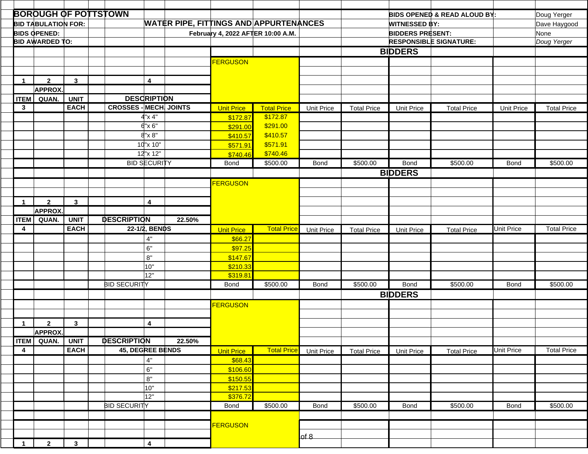|                      |                            |                            | <b>BOROUGH OF POTTSTOWN</b>                         |                         |                   |                                               |                   |                    |                         | <b>BIDS OPENED &amp; READ ALOUD BY:</b> |                   | Doug Yerger        |  |
|----------------------|----------------------------|----------------------------|-----------------------------------------------------|-------------------------|-------------------|-----------------------------------------------|-------------------|--------------------|-------------------------|-----------------------------------------|-------------------|--------------------|--|
|                      | <b>BID TABULATION FOR:</b> |                            |                                                     |                         |                   | <b>WATER PIPE, FITTINGS AND APPURTENANCES</b> |                   |                    | <b>WITNESSED BY:</b>    |                                         |                   | Dave Haygood       |  |
|                      | <b>BIDS OPENED:</b>        |                            |                                                     |                         |                   | February 4, 2022 AFTER 10:00 A.M.             |                   |                    | <b>BIDDERS PRESENT:</b> |                                         |                   | None               |  |
|                      | <b>BID AWARDED TO:</b>     |                            |                                                     |                         |                   |                                               |                   |                    |                         | <b>RESPONSIBLE SIGNATURE:</b>           | Doug Yerger       |                    |  |
|                      |                            |                            |                                                     |                         |                   |                                               |                   |                    | <b>BIDDERS</b>          |                                         |                   |                    |  |
|                      |                            |                            |                                                     |                         | <b>FERGUSON</b>   |                                               |                   |                    |                         |                                         |                   |                    |  |
|                      |                            |                            |                                                     |                         |                   |                                               |                   |                    |                         |                                         |                   |                    |  |
|                      |                            |                            |                                                     |                         |                   |                                               |                   |                    |                         |                                         |                   |                    |  |
| $\mathbf{1}$         | $\mathbf{2}$               | $\mathbf{3}$               | 4                                                   |                         |                   |                                               |                   |                    |                         |                                         |                   |                    |  |
|                      | <b>APPROX.</b>             |                            |                                                     |                         |                   |                                               |                   |                    |                         |                                         |                   |                    |  |
| <b>ITEM</b>          | QUAN.                      | <b>UNIT</b><br><b>EACH</b> | <b>DESCRIPTION</b><br><b>CROSSES - MECH. JOINTS</b> |                         |                   |                                               |                   |                    |                         |                                         |                   |                    |  |
| 3                    |                            |                            |                                                     |                         | <b>Unit Price</b> | <b>Total Price</b><br>\$172.87                | <b>Unit Price</b> | <b>Total Price</b> | <b>Unit Price</b>       | <b>Total Price</b>                      | <b>Unit Price</b> | <b>Total Price</b> |  |
|                      |                            |                            | 4"x 4"                                              |                         | \$172.87          |                                               |                   |                    |                         |                                         |                   |                    |  |
|                      |                            |                            | $6" \times 6"$                                      |                         | \$291.00          | \$291.00                                      |                   |                    |                         |                                         |                   |                    |  |
|                      |                            |                            | $8" \times 8"$                                      |                         | \$410.57          | \$410.57                                      |                   |                    |                         |                                         |                   |                    |  |
|                      |                            |                            | 10"x 10"                                            |                         | \$571.91          | \$571.91                                      |                   |                    |                         |                                         |                   |                    |  |
|                      |                            |                            | 12"x 12"                                            |                         | \$740.46          | \$740.46                                      |                   |                    |                         |                                         |                   |                    |  |
|                      |                            |                            | <b>BID SECURITY</b>                                 |                         | Bond              | \$500.00                                      | <b>Bond</b>       | \$500.00           | Bond                    | \$500.00                                | <b>Bond</b>       | \$500.00           |  |
|                      |                            |                            |                                                     |                         |                   |                                               |                   |                    | <b>BIDDERS</b>          |                                         |                   |                    |  |
|                      |                            |                            |                                                     |                         | <b>FERGUSON</b>   |                                               |                   |                    |                         |                                         |                   |                    |  |
|                      |                            |                            |                                                     |                         |                   |                                               |                   |                    |                         |                                         |                   |                    |  |
| $\overline{1}$       | $\overline{2}$             | $\mathbf{3}$               | $\overline{4}$                                      |                         |                   |                                               |                   |                    |                         |                                         |                   |                    |  |
|                      | <b>APPROX.</b>             |                            |                                                     |                         |                   |                                               |                   |                    |                         |                                         |                   |                    |  |
| <b>ITEM</b>          | QUAN.                      | <b>UNIT</b>                | <b>DESCRIPTION</b>                                  | 22.50%                  |                   |                                               |                   |                    |                         |                                         |                   |                    |  |
| 4                    |                            | <b>EACH</b>                | 22-1/2, BENDS                                       |                         | <b>Unit Price</b> | <b>Total Price</b>                            | <b>Unit Price</b> | <b>Total Price</b> | <b>Unit Price</b>       | <b>Total Price</b>                      | Unit Price        | <b>Total Price</b> |  |
|                      |                            |                            | 4"                                                  |                         | \$66.27           |                                               |                   |                    |                         |                                         |                   |                    |  |
|                      |                            |                            | 6"                                                  |                         | \$97.25           |                                               |                   |                    |                         |                                         |                   |                    |  |
|                      |                            |                            | 8"                                                  |                         | \$147.67          |                                               |                   |                    |                         |                                         |                   |                    |  |
|                      |                            |                            | 10"                                                 |                         | \$210.33          |                                               |                   |                    |                         |                                         |                   |                    |  |
|                      |                            |                            | 12"                                                 |                         | \$319.81          |                                               |                   |                    |                         |                                         |                   |                    |  |
|                      |                            |                            | <b>BID SECURITY</b>                                 |                         | <b>Bond</b>       | \$500.00                                      | <b>Bond</b>       | \$500.00           | Bond                    | \$500.00                                | <b>Bond</b>       | \$500.00           |  |
|                      |                            |                            |                                                     |                         |                   |                                               |                   |                    | <b>BIDDERS</b>          |                                         |                   |                    |  |
|                      |                            |                            |                                                     |                         | <b>FERGUSON</b>   |                                               |                   |                    |                         |                                         |                   |                    |  |
|                      |                            |                            |                                                     |                         |                   |                                               |                   |                    |                         |                                         |                   |                    |  |
| $\blacktriangleleft$ | $\mathbf{2}$               | $\mathbf{3}$               | $\overline{\mathbf{4}}$                             |                         |                   |                                               |                   |                    |                         |                                         |                   |                    |  |
|                      | <b>APPROX.</b>             |                            |                                                     |                         |                   |                                               |                   |                    |                         |                                         |                   |                    |  |
|                      | <b>ITEM</b> QUAN.          | <b>UNIT</b>                | <b>DESCRIPTION</b>                                  | 22.50%                  |                   |                                               |                   |                    |                         |                                         |                   |                    |  |
| $\overline{4}$       |                            | <b>EACH</b>                | <b>45, DEGREE BENDS</b>                             |                         | <b>Unit Price</b> | <b>Total Price</b>                            | Unit Price        | <b>Total Price</b> | <b>Unit Price</b>       | <b>Total Price</b>                      | <b>Unit Price</b> | <b>Total Price</b> |  |
|                      |                            |                            | 4"                                                  |                         | \$68.43           |                                               |                   |                    |                         |                                         |                   |                    |  |
|                      |                            |                            | 6"                                                  |                         | \$106.60          |                                               |                   |                    |                         |                                         |                   |                    |  |
|                      |                            |                            | 8"                                                  |                         | \$150.55          |                                               |                   |                    |                         |                                         |                   |                    |  |
|                      |                            |                            | 10"                                                 |                         | \$217.53          |                                               |                   |                    |                         |                                         |                   |                    |  |
|                      |                            |                            | 12"                                                 |                         | \$376.72          |                                               |                   |                    |                         |                                         |                   |                    |  |
|                      |                            |                            | <b>BID SECURITY</b>                                 |                         | <b>Bond</b>       | \$500.00                                      | <b>Bond</b>       | \$500.00           | Bond                    | \$500.00                                | Bond              | \$500.00           |  |
|                      |                            |                            |                                                     |                         |                   |                                               |                   |                    |                         |                                         |                   |                    |  |
|                      |                            |                            |                                                     |                         |                   |                                               |                   |                    |                         |                                         |                   |                    |  |
|                      |                            |                            |                                                     |                         | <b>FERGUSON</b>   |                                               |                   |                    |                         |                                         |                   |                    |  |
|                      |                            |                            |                                                     |                         |                   |                                               | of 8              |                    |                         |                                         |                   |                    |  |
| $\mathbf{1}$         | $\overline{2}$             | $\mathbf{3}$               |                                                     | $\overline{\mathbf{4}}$ |                   |                                               |                   |                    |                         |                                         |                   |                    |  |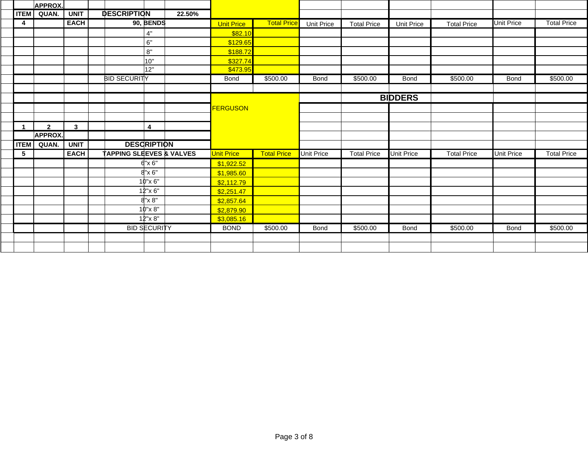|             | <b>APPROX.</b> |              |                                     |                     |        |                   |                    |                   |                    |                   |                    |                   |                    |
|-------------|----------------|--------------|-------------------------------------|---------------------|--------|-------------------|--------------------|-------------------|--------------------|-------------------|--------------------|-------------------|--------------------|
| <b>ITEM</b> | QUAN.          | <b>UNIT</b>  | <b>DESCRIPTION</b>                  |                     | 22.50% |                   |                    |                   |                    |                   |                    |                   |                    |
| 4           |                | <b>EACH</b>  |                                     | 90, BENDS           |        | <b>Unit Price</b> | <b>Total Price</b> | Unit Price        | <b>Total Price</b> | <b>Unit Price</b> | <b>Total Price</b> | <b>Unit Price</b> | <b>Total Price</b> |
|             |                |              |                                     | 4"                  |        | \$82.10           |                    |                   |                    |                   |                    |                   |                    |
|             |                |              |                                     | 6"                  |        | \$129.65          |                    |                   |                    |                   |                    |                   |                    |
|             |                |              |                                     | 8"                  |        | \$188.72          |                    |                   |                    |                   |                    |                   |                    |
|             |                |              |                                     | 10"                 |        | \$327.74          |                    |                   |                    |                   |                    |                   |                    |
|             |                |              |                                     | 12"                 |        | \$473.95          |                    |                   |                    |                   |                    |                   |                    |
|             |                |              | <b>BID SECURITY</b>                 |                     |        | Bond              | \$500.00           | <b>Bond</b>       | \$500.00           | Bond              | \$500.00           | <b>Bond</b>       | \$500.00           |
|             |                |              |                                     |                     |        |                   |                    |                   |                    |                   |                    |                   |                    |
|             |                |              |                                     |                     |        |                   |                    |                   |                    | <b>BIDDERS</b>    |                    |                   |                    |
|             |                |              |                                     |                     |        | <b>FERGUSON</b>   |                    |                   |                    |                   |                    |                   |                    |
|             |                |              |                                     |                     |        |                   |                    |                   |                    |                   |                    |                   |                    |
|             | $\overline{2}$ | $\mathbf{3}$ |                                     | $\overline{4}$      |        |                   |                    |                   |                    |                   |                    |                   |                    |
|             | <b>APPROX.</b> |              |                                     |                     |        |                   |                    |                   |                    |                   |                    |                   |                    |
| <b>ITEM</b> | QUAN.          | <b>UNIT</b>  |                                     | <b>DESCRIPTION</b>  |        |                   |                    |                   |                    |                   |                    |                   |                    |
| $\sqrt{5}$  |                | <b>EACH</b>  | <b>TAPPING SLEEVES &amp; VALVES</b> |                     |        | Unit Price        | <b>Total Price</b> | <b>Unit Price</b> | <b>Total Price</b> | <b>Unit Price</b> | <b>Total Price</b> | <b>Unit Price</b> | <b>Total Price</b> |
|             |                |              |                                     | $6"$ x $6"$         |        | \$1,922.52        |                    |                   |                    |                   |                    |                   |                    |
|             |                |              |                                     | $8"$ x 6"           |        | \$1,985.60        |                    |                   |                    |                   |                    |                   |                    |
|             |                |              |                                     | 10"x 6"             |        | \$2,112.79        |                    |                   |                    |                   |                    |                   |                    |
|             |                |              |                                     | 12"x 6"             |        | \$2,251.47        |                    |                   |                    |                   |                    |                   |                    |
|             |                |              |                                     | $8"$ x $8"$         |        | \$2,857.64        |                    |                   |                    |                   |                    |                   |                    |
|             |                |              |                                     | 10"x 8"             |        | \$2,879.90        |                    |                   |                    |                   |                    |                   |                    |
|             |                |              |                                     | $12"$ x 8"          |        | \$3,085.16        |                    |                   |                    |                   |                    |                   |                    |
|             |                |              |                                     | <b>BID SECURITY</b> |        | <b>BOND</b>       | \$500.00           | Bond              | \$500.00           | Bond              | \$500.00           | <b>Bond</b>       | \$500.00           |
|             |                |              |                                     |                     |        |                   |                    |                   |                    |                   |                    |                   |                    |
|             |                |              |                                     |                     |        |                   |                    |                   |                    |                   |                    |                   |                    |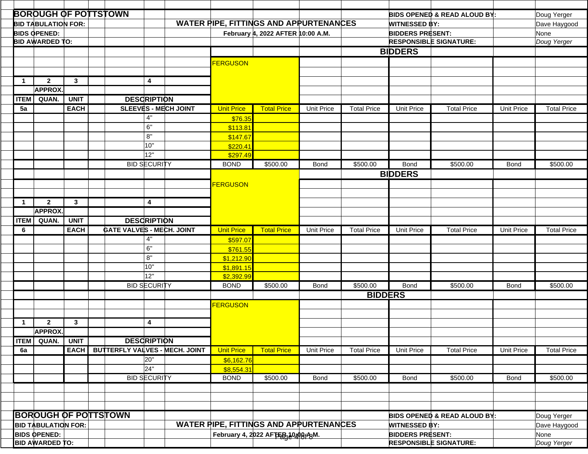|              | <b>BOROUGH OF POTTSTOWN</b> |              |  |                                  |                     |                                                                                    |                                   |                                               |                               |                         |                      | BIDS OPENED & READ ALOUD BY:            |                   | Doug Yerger        |  |
|--------------|-----------------------------|--------------|--|----------------------------------|---------------------|------------------------------------------------------------------------------------|-----------------------------------|-----------------------------------------------|-------------------------------|-------------------------|----------------------|-----------------------------------------|-------------------|--------------------|--|
|              | <b>BID TABULATION FOR:</b>  |              |  |                                  |                     |                                                                                    |                                   | <b>WATER PIPE, FITTINGS AND APPURTENANCES</b> |                               |                         | <b>WITNESSED BY:</b> |                                         |                   | Dave Haygood       |  |
|              | <b>BIDS OPENED:</b>         |              |  |                                  |                     |                                                                                    |                                   |                                               | <b>BIDDERS PRESENT:</b>       |                         |                      | None                                    |                   |                    |  |
|              | <b>BID AWARDED TO:</b>      |              |  |                                  |                     |                                                                                    | February 4, 2022 AFTER 10:00 A.M. |                                               |                               |                         |                      | <b>RESPONSIBLE SIGNATURE:</b>           | Doug Yerger       |                    |  |
|              |                             |              |  |                                  |                     |                                                                                    |                                   |                                               |                               |                         |                      |                                         |                   |                    |  |
|              |                             |              |  |                                  |                     |                                                                                    |                                   |                                               |                               |                         | <b>BIDDERS</b>       |                                         |                   |                    |  |
|              |                             |              |  |                                  |                     |                                                                                    | <b>FERGUSON</b>                   |                                               |                               |                         |                      |                                         |                   |                    |  |
|              |                             |              |  |                                  |                     |                                                                                    |                                   |                                               |                               |                         |                      |                                         |                   |                    |  |
| $\mathbf{1}$ | $\overline{2}$              | $\mathbf{3}$ |  |                                  | 4                   |                                                                                    |                                   |                                               |                               |                         |                      |                                         |                   |                    |  |
|              | <b>APPROX.</b>              |              |  |                                  |                     |                                                                                    |                                   |                                               |                               |                         |                      |                                         |                   |                    |  |
| <b>ITEM</b>  | QUAN.                       | <b>UNIT</b>  |  |                                  | <b>DESCRIPTION</b>  |                                                                                    |                                   |                                               |                               |                         |                      |                                         |                   |                    |  |
| 5a           |                             | <b>EACH</b>  |  |                                  |                     | <b>SLEEVES - MECH JOINT</b>                                                        | <b>Unit Price</b>                 | <b>Total Price</b>                            | <b>Unit Price</b>             | <b>Total Price</b>      | <b>Unit Price</b>    | <b>Total Price</b>                      | <b>Unit Price</b> | <b>Total Price</b> |  |
|              |                             |              |  |                                  | 4"                  |                                                                                    |                                   |                                               |                               |                         |                      |                                         |                   |                    |  |
|              |                             |              |  |                                  |                     |                                                                                    | \$76.35                           |                                               |                               |                         |                      |                                         |                   |                    |  |
|              |                             |              |  |                                  | 6"                  |                                                                                    | \$113.81                          |                                               |                               |                         |                      |                                         |                   |                    |  |
|              |                             |              |  |                                  | 8"                  |                                                                                    | \$147.67                          |                                               |                               |                         |                      |                                         |                   |                    |  |
|              |                             |              |  |                                  | 10"                 |                                                                                    | \$220.41                          |                                               |                               |                         |                      |                                         |                   |                    |  |
|              |                             |              |  |                                  | 12"                 |                                                                                    | \$297.49                          |                                               |                               |                         |                      |                                         |                   |                    |  |
|              |                             |              |  |                                  | <b>BID SECURITY</b> |                                                                                    | <b>BOND</b>                       | \$500.00                                      | <b>Bond</b>                   | \$500.00                | <b>Bond</b>          | \$500.00                                | <b>Bond</b>       | \$500.00           |  |
|              |                             |              |  |                                  |                     |                                                                                    |                                   |                                               |                               |                         | <b>BIDDERS</b>       |                                         |                   |                    |  |
|              |                             |              |  |                                  |                     |                                                                                    | <b>FERGUSON</b>                   |                                               |                               |                         |                      |                                         |                   |                    |  |
|              |                             |              |  |                                  |                     |                                                                                    |                                   |                                               |                               |                         |                      |                                         |                   |                    |  |
| $\mathbf 1$  | $\overline{2}$              | $\mathbf{3}$ |  |                                  | 4                   |                                                                                    |                                   |                                               |                               |                         |                      |                                         |                   |                    |  |
|              | <b>APPROX.</b>              |              |  |                                  |                     |                                                                                    |                                   |                                               |                               |                         |                      |                                         |                   |                    |  |
|              |                             |              |  |                                  |                     |                                                                                    |                                   |                                               |                               |                         |                      |                                         |                   |                    |  |
| <b>ITEM</b>  | QUAN.                       | <b>UNIT</b>  |  |                                  | <b>DESCRIPTION</b>  |                                                                                    |                                   |                                               |                               |                         |                      |                                         |                   |                    |  |
| 6            |                             | <b>EACH</b>  |  | <b>GATE VALVES - MECH. JOINT</b> |                     |                                                                                    | <b>Unit Price</b>                 | <b>Total Price</b>                            | <b>Unit Price</b>             | <b>Total Price</b>      | <b>Unit Price</b>    | <b>Total Price</b>                      | <b>Unit Price</b> | <b>Total Price</b> |  |
|              |                             |              |  |                                  | 4"                  |                                                                                    | \$597.07                          |                                               |                               |                         |                      |                                         |                   |                    |  |
|              |                             |              |  |                                  | 6"                  |                                                                                    | \$761.55                          |                                               |                               |                         |                      |                                         |                   |                    |  |
|              |                             |              |  |                                  | 8"                  |                                                                                    | \$1,212.90                        |                                               |                               |                         |                      |                                         |                   |                    |  |
|              |                             |              |  |                                  | 10"                 |                                                                                    | \$1,891.15                        |                                               |                               |                         |                      |                                         |                   |                    |  |
|              |                             |              |  |                                  | 12"                 |                                                                                    | \$2,392.99                        |                                               |                               |                         |                      |                                         |                   |                    |  |
|              |                             |              |  |                                  | <b>BID SECURITY</b> |                                                                                    | <b>BOND</b>                       | \$500.00                                      | <b>Bond</b>                   | \$500.00                | <b>Bond</b>          | \$500.00                                | <b>Bond</b>       | \$500.00           |  |
|              |                             |              |  |                                  |                     |                                                                                    |                                   |                                               |                               | <b>BIDDERS</b>          |                      |                                         |                   |                    |  |
|              |                             |              |  |                                  |                     |                                                                                    | <b>FERGUSON</b>                   |                                               |                               |                         |                      |                                         |                   |                    |  |
|              |                             |              |  |                                  |                     |                                                                                    |                                   |                                               |                               |                         |                      |                                         |                   |                    |  |
| $\mathbf 1$  | $\overline{2}$              | $\mathbf{3}$ |  |                                  | 4                   |                                                                                    |                                   |                                               |                               |                         |                      |                                         |                   |                    |  |
|              | <b>APPROX.</b>              |              |  |                                  |                     |                                                                                    |                                   |                                               |                               |                         |                      |                                         |                   |                    |  |
| <b>ITEM</b>  | QUAN.                       | <b>UNIT</b>  |  |                                  |                     |                                                                                    |                                   |                                               |                               |                         |                      |                                         |                   |                    |  |
|              |                             |              |  |                                  | <b>DESCRIPTION</b>  | <b>BUTTERFLY VALVES - MECH. JOINT</b>                                              |                                   |                                               |                               |                         |                      |                                         |                   |                    |  |
| 6a           |                             | <b>EACH</b>  |  |                                  |                     |                                                                                    | <b>Unit Price</b>                 | <b>Total Price</b>                            | <b>Unit Price</b>             | <b>Total Price</b>      | <b>Unit Price</b>    | <b>Total Price</b>                      | <b>Unit Price</b> | <b>Total Price</b> |  |
|              |                             |              |  |                                  | 20"                 |                                                                                    | \$6,162.76                        |                                               |                               |                         |                      |                                         |                   |                    |  |
|              |                             |              |  |                                  | 24"                 |                                                                                    | \$8,554.31                        |                                               |                               |                         |                      |                                         |                   |                    |  |
|              |                             |              |  |                                  | <b>BID SECURITY</b> |                                                                                    | <b>BOND</b>                       | \$500.00                                      | Bond                          | \$500.00                | Bond                 | \$500.00                                | Bond              | \$500.00           |  |
|              |                             |              |  |                                  |                     |                                                                                    |                                   |                                               |                               |                         |                      |                                         |                   |                    |  |
|              |                             |              |  |                                  |                     |                                                                                    |                                   |                                               |                               |                         |                      |                                         |                   |                    |  |
|              |                             |              |  |                                  |                     |                                                                                    |                                   |                                               |                               |                         |                      |                                         |                   |                    |  |
|              | <b>BOROUGH OF POTTSTOWN</b> |              |  |                                  |                     |                                                                                    |                                   |                                               |                               |                         |                      | <b>BIDS OPENED &amp; READ ALOUD BY:</b> |                   | Doug Yerger        |  |
|              | <b>BID TABULATION FOR:</b>  |              |  |                                  |                     |                                                                                    |                                   |                                               |                               | <b>WITNESSED BY:</b>    |                      |                                         | Dave Haygood      |                    |  |
|              | <b>BIDS OPENED:</b>         |              |  |                                  |                     | <b>WATER PIPE, FITTINGS AND APPURTENANCES</b><br>February 4, 2022 AFTER 10408fABM. |                                   |                                               |                               | <b>BIDDERS PRESENT:</b> |                      |                                         | None              |                    |  |
|              |                             |              |  |                                  |                     |                                                                                    |                                   |                                               | <b>RESPONSIBLE SIGNATURE:</b> |                         | Doug Yerger          |                                         |                   |                    |  |
|              | <b>BID AWARDED TO:</b>      |              |  |                                  |                     |                                                                                    |                                   |                                               |                               |                         |                      |                                         |                   |                    |  |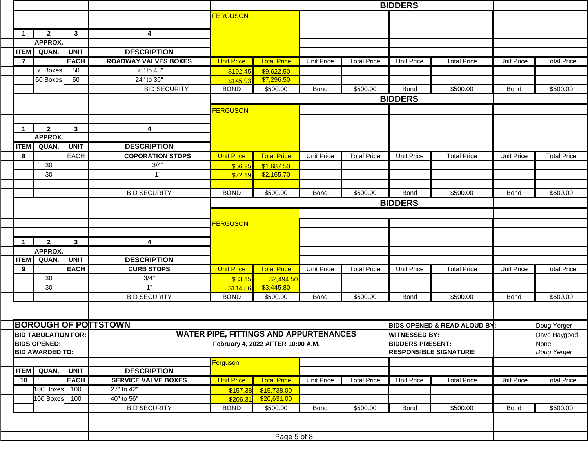|                |                            |              |                             |                     |                   |                                               |                   |                    | <b>BIDDERS</b>          |                               |                   |                    |
|----------------|----------------------------|--------------|-----------------------------|---------------------|-------------------|-----------------------------------------------|-------------------|--------------------|-------------------------|-------------------------------|-------------------|--------------------|
|                |                            |              |                             |                     | <b>FERGUSON</b>   |                                               |                   |                    |                         |                               |                   |                    |
|                |                            |              |                             |                     |                   |                                               |                   |                    |                         |                               |                   |                    |
| $\mathbf 1$    | $\overline{2}$             | $\mathbf{3}$ | 4                           |                     |                   |                                               |                   |                    |                         |                               |                   |                    |
|                | <b>APPROX.</b>             |              |                             |                     |                   |                                               |                   |                    |                         |                               |                   |                    |
| <b>ITEM</b>    | QUAN.                      | <b>UNIT</b>  | <b>DESCRIPTION</b>          |                     |                   |                                               |                   |                    |                         |                               |                   |                    |
| $\overline{7}$ |                            | <b>EACH</b>  | <b>ROADWAY VALVES BOXES</b> |                     | <b>Unit Price</b> | <b>Total Price</b>                            | <b>Unit Price</b> | <b>Total Price</b> | <b>Unit Price</b>       | <b>Total Price</b>            | <b>Unit Price</b> | <b>Total Price</b> |
|                | 50 Boxes                   | 50           | 36" to 48"                  |                     | \$192.45          | \$9,622.50                                    |                   |                    |                         |                               |                   |                    |
|                | 50 Boxes                   | 50           | 24" to 36"                  |                     | \$145.93          | \$7,296.50                                    |                   |                    |                         |                               |                   |                    |
|                |                            |              |                             | <b>BID SECURITY</b> | <b>BOND</b>       | \$500.00                                      | <b>Bond</b>       | \$500.00           | <b>Bond</b>             | \$500.00                      | <b>Bond</b>       | \$500.00           |
|                |                            |              |                             |                     |                   |                                               |                   |                    | <b>BIDDERS</b>          |                               |                   |                    |
|                |                            |              |                             |                     | <b>FERGUSON</b>   |                                               |                   |                    |                         |                               |                   |                    |
|                |                            |              |                             |                     |                   |                                               |                   |                    |                         |                               |                   |                    |
| $\mathbf 1$    | $\overline{2}$             | $\mathbf{3}$ | $\overline{\mathbf{4}}$     |                     |                   |                                               |                   |                    |                         |                               |                   |                    |
|                | <b>APPROX.</b>             |              |                             |                     |                   |                                               |                   |                    |                         |                               |                   |                    |
| <b>ITEM</b>    | QUAN.                      | <b>UNIT</b>  | <b>DESCRIPTION</b>          |                     |                   |                                               |                   |                    |                         |                               |                   |                    |
| 8              |                            | <b>EACH</b>  | <b>COPORATION STOPS</b>     |                     | <b>Unit Price</b> | <b>Total Price</b>                            | <b>Unit Price</b> | <b>Total Price</b> | <b>Unit Price</b>       | <b>Total Price</b>            | <b>Unit Price</b> | <b>Total Price</b> |
|                | 30                         |              | 3/4"                        |                     | \$56.25           | \$1,687.50                                    |                   |                    |                         |                               |                   |                    |
|                | 30                         |              | 1"                          |                     | \$72.19           | \$2,165.70                                    |                   |                    |                         |                               |                   |                    |
|                |                            |              |                             |                     |                   |                                               |                   |                    |                         |                               |                   |                    |
|                |                            |              | <b>BID SECURITY</b>         |                     | <b>BOND</b>       | \$500.00                                      | <b>Bond</b>       | \$500.00           | <b>Bond</b>             | \$500.00                      | Bond              | \$500.00           |
|                |                            |              |                             |                     |                   |                                               |                   |                    | <b>BIDDERS</b>          |                               |                   |                    |
|                |                            |              |                             |                     |                   |                                               |                   |                    |                         |                               |                   |                    |
|                |                            |              |                             |                     | <b>FERGUSON</b>   |                                               |                   |                    |                         |                               |                   |                    |
|                |                            |              |                             |                     |                   |                                               |                   |                    |                         |                               |                   |                    |
| 1              | $\overline{2}$             | $\mathbf{3}$ | $\overline{\mathbf{4}}$     |                     |                   |                                               |                   |                    |                         |                               |                   |                    |
|                | <b>APPROX</b>              |              |                             |                     |                   |                                               |                   |                    |                         |                               |                   |                    |
| <b>ITEM</b>    | QUAN.                      | <b>UNIT</b>  | <b>DESCRIPTION</b>          |                     |                   |                                               |                   |                    |                         |                               |                   |                    |
| 9              |                            | <b>EACH</b>  | <b>CURB STOPS</b>           |                     | <b>Unit Price</b> | <b>Total Price</b>                            | <b>Unit Price</b> | <b>Total Price</b> | <b>Unit Price</b>       | <b>Total Price</b>            | <b>Unit Price</b> | <b>Total Price</b> |
|                | 30                         |              | 3/4"<br>1"                  |                     | \$83.15           | \$2,494.50                                    |                   |                    |                         |                               |                   |                    |
|                | 30                         |              |                             |                     | \$114.86          | \$3,445.80                                    |                   |                    |                         |                               |                   |                    |
|                |                            |              | <b>BID SECURITY</b>         |                     | <b>BOND</b>       | \$500.00                                      | <b>Bond</b>       | \$500.00           | <b>Bond</b>             | \$500.00                      | <b>Bond</b>       | \$500.00           |
|                |                            |              |                             |                     |                   |                                               |                   |                    |                         |                               |                   |                    |
|                |                            |              | <b>BOROUGH OF POTTSTOWN</b> |                     |                   |                                               |                   |                    |                         | BIDS OPENED & READ ALOUD BY:  |                   | Doug Yerger        |
|                | <b>BID TABULATION FOR:</b> |              |                             |                     |                   | <b>WATER PIPE, FITTINGS AND APPURTENANCES</b> |                   |                    | <b>WITNESSED BY:</b>    |                               |                   | Dave Haygood       |
|                | <b>BIDS OPENED:</b>        |              |                             |                     |                   | February 4, 2022 AFTER 10:00 A.M.             |                   |                    | <b>BIDDERS PRESENT:</b> |                               |                   | None               |
|                | <b>BID AWARDED TO:</b>     |              |                             |                     |                   |                                               |                   |                    |                         | <b>RESPONSIBLE SIGNATURE:</b> |                   | Doug Yerger        |
|                |                            |              |                             |                     | Ferguson          |                                               |                   |                    |                         |                               |                   |                    |
|                | <b>ITEM</b> QUAN.          | <b>UNIT</b>  | <b>DESCRIPTION</b>          |                     |                   |                                               |                   |                    |                         |                               |                   |                    |
| 10             |                            | <b>EACH</b>  | <b>SERVICE VALVE BOXES</b>  |                     | <b>Unit Price</b> | <b>Total Price</b>                            | Unit Price        | <b>Total Price</b> | Unit Price              | <b>Total Price</b>            | <b>Unit Price</b> | <b>Total Price</b> |
|                | 100 Boxes 100              |              | 27" to 42"                  |                     | \$157.38          | \$15,738.00                                   |                   |                    |                         |                               |                   |                    |
|                | 100 Boxes                  | 100          | 40" to 56"                  |                     | \$206.31          | \$20,631.00                                   |                   |                    |                         |                               |                   |                    |
|                |                            |              | <b>BID SECURITY</b>         |                     | <b>BOND</b>       | \$500.00                                      | Bond              | \$500.00           | <b>Bond</b>             | \$500.00                      | Bond              | \$500.00           |
|                |                            |              |                             |                     |                   |                                               |                   |                    |                         |                               |                   |                    |
|                |                            |              |                             |                     |                   |                                               |                   |                    |                         |                               |                   |                    |
|                |                            |              |                             |                     |                   | Page $5$ of 8                                 |                   |                    |                         |                               |                   |                    |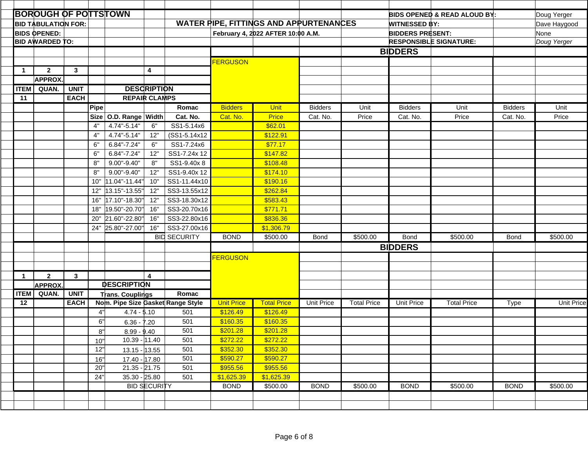|             | <b>BOROUGH OF POTTSTOWN</b> |              |             |                                  |                         |                                          |                      |                                               |                               |                    |                         | <b>BIDS OPENED &amp; READ ALOUD BY:</b> |                | Doug Yerger       |
|-------------|-----------------------------|--------------|-------------|----------------------------------|-------------------------|------------------------------------------|----------------------|-----------------------------------------------|-------------------------------|--------------------|-------------------------|-----------------------------------------|----------------|-------------------|
|             | <b>BID TABULATION FOR:</b>  |              |             |                                  |                         |                                          |                      | <b>WATER PIPE, FITTINGS AND APPURTENANCES</b> |                               |                    | <b>WITNESSED BY:</b>    |                                         |                | Dave Haygood      |
|             | <b>BIDS OPENED:</b>         |              |             |                                  |                         |                                          |                      | February 4, 2022 AFTER 10:00 A.M.             |                               |                    | <b>BIDDERS PRESENT:</b> |                                         |                | None              |
|             | <b>BID AWARDED TO:</b>      |              |             |                                  |                         |                                          |                      |                                               | <b>RESPONSIBLE SIGNATURE:</b> |                    |                         |                                         |                | Doug Yerger       |
|             |                             |              |             |                                  |                         |                                          |                      |                                               |                               |                    | <b>BIDDERS</b>          |                                         |                |                   |
|             |                             |              |             |                                  |                         |                                          | <b>FERGUSON</b>      |                                               |                               |                    |                         |                                         |                |                   |
| $\mathbf 1$ | $\overline{2}$              | $\mathbf{3}$ |             |                                  | $\overline{\mathbf{4}}$ |                                          |                      |                                               |                               |                    |                         |                                         |                |                   |
|             | <b>APPROX</b>               |              |             |                                  |                         |                                          |                      |                                               |                               |                    |                         |                                         |                |                   |
| <b>ITEM</b> | QUAN.                       | <b>UNIT</b>  |             |                                  | <b>DESCRIPTION</b>      |                                          |                      |                                               |                               |                    |                         |                                         |                |                   |
| 11          |                             | <b>EACH</b>  |             | <b>REPAIR CLAMPS</b>             |                         |                                          |                      |                                               |                               |                    |                         |                                         |                |                   |
|             |                             |              | Pipe        |                                  |                         | Romac                                    | <b>Bidders</b>       | Unit                                          | <b>Bidders</b>                | Unit               | <b>Bidders</b>          | Unit                                    | <b>Bidders</b> | Unit              |
|             |                             |              | <b>Size</b> | O.D. Range Width                 |                         | Cat. No.                                 | Cat. No.             | <b>Price</b>                                  | Cat. No.                      | Price              | Cat. No.                | Price                                   | Cat. No.       | Price             |
|             |                             |              | 4"          | 4.74"-5.14"                      | 6"                      | SS1-5.14x6                               |                      | \$62.01                                       |                               |                    |                         |                                         |                |                   |
|             |                             |              | 4"          | 4.74"-5.14"                      | 12"                     | (SS1-5.14x12                             |                      | \$122.91                                      |                               |                    |                         |                                         |                |                   |
|             |                             |              | 6"          | $6.84" - 7.24"$                  | 6"                      | SS1-7.24x6                               |                      | \$77.17                                       |                               |                    |                         |                                         |                |                   |
|             |                             |              | 6"          | $6.84 - 7.24$                    | 12"                     | SS1-7.24x 12                             |                      | \$147.82                                      |                               |                    |                         |                                         |                |                   |
|             |                             |              | 8"          | $9.00" - 9.40"$                  | 8"                      | SS1-9.40x8                               |                      | \$108.48                                      |                               |                    |                         |                                         |                |                   |
|             |                             |              | 8"          | $9.00" - 9.40"$                  | 12"                     | SS1-9.40x 12                             |                      | \$174.10                                      |                               |                    |                         |                                         |                |                   |
|             |                             |              | 10"         | 11.04"-11.44"                    | 10"                     | SS1-11.44x10                             |                      | \$190.16                                      |                               |                    |                         |                                         |                |                   |
|             |                             |              | 12"         | 13.15"-13.55"                    | 12"                     | SS3-13.55x12                             |                      | \$262.84                                      |                               |                    |                         |                                         |                |                   |
|             |                             |              | 16"         | 17.10"-18.30"                    | 12"                     | SS3-18.30x12                             |                      | \$583.43                                      |                               |                    |                         |                                         |                |                   |
|             |                             |              | 18"         | 19.50"-20.70"                    | 16"                     | SS3-20.70x16                             |                      | \$771.71                                      |                               |                    |                         |                                         |                |                   |
|             |                             |              | 20"         | 21.60"-22.80"                    | 16"                     | SS3-22.80x16                             |                      | \$836.36                                      |                               |                    |                         |                                         |                |                   |
|             |                             |              | 24"         | 25.80"-27.00"                    | 16"                     | SS3-27.00x16                             |                      | \$1,306.79                                    |                               |                    |                         |                                         |                |                   |
|             |                             |              |             |                                  |                         | <b>BID SECURITY</b>                      | <b>BOND</b>          | \$500.00                                      | <b>Bond</b>                   | \$500.00           | <b>Bond</b>             | \$500.00                                | <b>Bond</b>    | \$500.00          |
|             |                             |              |             |                                  |                         |                                          |                      |                                               |                               |                    | <b>BIDDERS</b>          |                                         |                |                   |
|             |                             |              |             |                                  |                         |                                          | <b>FERGUSON</b>      |                                               |                               |                    |                         |                                         |                |                   |
|             |                             |              |             |                                  |                         |                                          |                      |                                               |                               |                    |                         |                                         |                |                   |
| 1           | $\overline{2}$              | $\mathbf{3}$ |             |                                  | $\boldsymbol{\Lambda}$  |                                          |                      |                                               |                               |                    |                         |                                         |                |                   |
|             | <b>APPROX.</b>              |              |             | <b>DESCRIPTION</b>               |                         |                                          |                      |                                               |                               |                    |                         |                                         |                |                   |
| <b>ITEM</b> | QUAN.                       | <b>UNIT</b>  |             | <b>Trans. Couplings</b>          |                         | Romac                                    |                      |                                               |                               |                    |                         |                                         |                |                   |
| 12          |                             | <b>EACH</b>  | 4"          | $4.74 - 5.10$                    |                         | Nom. Pipe Size Gasket Range Style<br>501 | <b>Unit Price</b>    | <b>Total Price</b><br>\$126.49                | <b>Unit Price</b>             | <b>Total Price</b> | <b>Unit Price</b>       | <b>Total Price</b>                      | Type           | <b>Unit Price</b> |
|             |                             |              | 6"          |                                  |                         | 501                                      | \$126.49<br>\$160.35 | \$160.35                                      |                               |                    |                         |                                         |                |                   |
|             |                             |              | 8"          | $6.36 - 7.20$                    |                         | 501                                      | \$201.28             | \$201.28                                      |                               |                    |                         |                                         |                |                   |
|             |                             |              | 10"         | $8.99 - 9.40$<br>$10.39 - 11.40$ |                         | 501                                      | \$272.22             | \$272.22                                      |                               |                    |                         |                                         |                |                   |
|             |                             |              | 12"         | $13.15 - 13.55$                  |                         | 501                                      | \$352.30             | \$352.30                                      |                               |                    |                         |                                         |                |                   |
|             |                             |              | 16"         | 17.40 - 17.80                    |                         | 501                                      | \$590.27             | \$590.27                                      |                               |                    |                         |                                         |                |                   |
|             |                             |              | 20"         | $21.35 - 21.75$                  |                         | 501                                      | \$955.56             | \$955.56                                      |                               |                    |                         |                                         |                |                   |
|             |                             |              | 24"         | 35.30 - 25.80                    |                         | 501                                      | \$1,625.39           | \$1,625.39                                    |                               |                    |                         |                                         |                |                   |
|             |                             |              |             |                                  | <b>BID SECURITY</b>     |                                          | <b>BOND</b>          | \$500.00                                      | <b>BOND</b>                   | \$500.00           | <b>BOND</b>             | \$500.00                                | <b>BOND</b>    | \$500.00          |
|             |                             |              |             |                                  |                         |                                          |                      |                                               |                               |                    |                         |                                         |                |                   |
|             |                             |              |             |                                  |                         |                                          |                      |                                               |                               |                    |                         |                                         |                |                   |
|             |                             |              |             |                                  |                         |                                          |                      |                                               |                               |                    |                         |                                         |                |                   |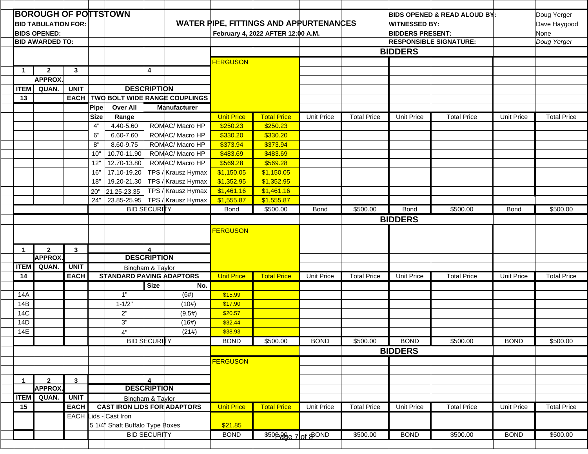|              | <b>BOROUGH OF POTTSTOWN</b>      |              |             |                                    |                                    |                               |                   |                                               |                   |                    |                         | BIDS OPENED & READ ALOUD BY:  |                   | Doug Yerger        |
|--------------|----------------------------------|--------------|-------------|------------------------------------|------------------------------------|-------------------------------|-------------------|-----------------------------------------------|-------------------|--------------------|-------------------------|-------------------------------|-------------------|--------------------|
|              | <b>BID TABULATION FOR:</b>       |              |             |                                    |                                    |                               |                   | <b>WATER PIPE, FITTINGS AND APPURTENANCES</b> |                   |                    | <b>WITNESSED BY:</b>    |                               |                   | Dave Haygood       |
|              | <b>BIDS OPENED:</b>              |              |             |                                    |                                    |                               |                   | February 4, 2022 AFTER 12:00 A.M.             |                   |                    | <b>BIDDERS PRESENT:</b> |                               |                   | None               |
|              | <b>BID AWARDED TO:</b>           |              |             |                                    |                                    |                               |                   |                                               |                   |                    |                         | <b>RESPONSIBLE SIGNATURE:</b> |                   | Doug Yerger        |
|              |                                  |              |             |                                    |                                    |                               |                   |                                               |                   |                    | <b>BIDDERS</b>          |                               |                   |                    |
|              |                                  |              |             |                                    |                                    |                               | <b>FERGUSON</b>   |                                               |                   |                    |                         |                               |                   |                    |
| $\mathbf{1}$ | $\mathbf{2}$                     | $\mathbf{3}$ |             |                                    | 4                                  |                               |                   |                                               |                   |                    |                         |                               |                   |                    |
|              | <b>APPROX</b>                    |              |             |                                    |                                    |                               |                   |                                               |                   |                    |                         |                               |                   |                    |
| <b>ITEM</b>  | QUAN.                            | <b>UNIT</b>  |             |                                    | <b>DESCRIPTION</b>                 |                               |                   |                                               |                   |                    |                         |                               |                   |                    |
| 13           |                                  | EACH         |             |                                    |                                    | TWO BOLT WIDE RANGE COUPLINGS |                   |                                               |                   |                    |                         |                               |                   |                    |
|              |                                  |              | Pipe        | <b>Over All</b>                    |                                    | <b>Manufacturer</b>           |                   |                                               |                   |                    |                         |                               |                   |                    |
|              |                                  |              | <b>Size</b> | Range                              |                                    |                               | <b>Unit Price</b> | <b>Total Price</b>                            | <b>Unit Price</b> | <b>Total Price</b> | <b>Unit Price</b>       | <b>Total Price</b>            | <b>Unit Price</b> | <b>Total Price</b> |
|              |                                  |              | 4"          | 4.40-5.60                          |                                    | ROMAC/ Macro HP               | \$250.23          | \$250.23                                      |                   |                    |                         |                               |                   |                    |
|              |                                  |              | 6"          | 6.60-7.60                          |                                    | ROMAC/ Macro HP               | \$330.20          | \$330.20                                      |                   |                    |                         |                               |                   |                    |
|              |                                  |              | 8"          | 8.60-9.75                          |                                    | ROMAC/ Macro HP               | \$373.94          | \$373.94                                      |                   |                    |                         |                               |                   |                    |
|              |                                  |              | 10"         | 10.70-11.90                        |                                    | ROMAC/ Macro HP               | \$483.69          | \$483.69                                      |                   |                    |                         |                               |                   |                    |
|              |                                  |              | 12"         | 12.70-13.80                        |                                    | ROMAC/ Macro HP               | \$569.28          | \$569.28                                      |                   |                    |                         |                               |                   |                    |
|              |                                  |              | 16"         | 17.10-19.20                        |                                    | TPS / Krausz Hymax            | \$1,150.05        | \$1,150.05                                    |                   |                    |                         |                               |                   |                    |
|              |                                  |              | 18"         | 19.20-21.30                        |                                    | TPS / Krausz Hymax            | \$1,352.95        | \$1,352.95                                    |                   |                    |                         |                               |                   |                    |
|              |                                  |              | 20"         | 21.25-23.35                        |                                    | TPS / Krausz Hymax            | \$1,461.16        | \$1,461.16                                    |                   |                    |                         |                               |                   |                    |
|              |                                  |              | 24"         | 23.85-25.95                        |                                    | TPS / Krausz Hymax            | \$1,555.87        | \$1,555.87                                    |                   |                    |                         |                               |                   |                    |
|              |                                  |              |             |                                    | <b>BID SECURITY</b>                |                               | Bond              | \$500.00                                      | <b>Bond</b>       | \$500.00           | Bond                    | \$500.00                      | <b>Bond</b>       | \$500.00           |
|              |                                  |              |             |                                    |                                    |                               |                   |                                               |                   |                    | <b>BIDDERS</b>          |                               |                   |                    |
|              |                                  |              |             |                                    |                                    |                               |                   |                                               |                   |                    |                         |                               |                   |                    |
|              |                                  |              |             |                                    |                                    |                               | <b>FERGUSON</b>   |                                               |                   |                    |                         |                               |                   |                    |
|              |                                  |              |             |                                    |                                    |                               |                   |                                               |                   |                    |                         |                               |                   |                    |
| $\mathbf{1}$ | $\mathbf{2}$<br><b>APPROX</b>    | $\mathbf{3}$ |             |                                    | $\mathbf{A}$<br><b>DESCRIPTION</b> |                               |                   |                                               |                   |                    |                         |                               |                   |                    |
| <b>ITEM</b>  | QUAN.                            | <b>UNIT</b>  |             |                                    | Bingham & Taylor                   |                               |                   |                                               |                   |                    |                         |                               |                   |                    |
| 14           |                                  | <b>EACH</b>  |             | <b>STANDARD PAVING ADAPTORS</b>    |                                    |                               | <b>Unit Price</b> | <b>Total Price</b>                            | <b>Unit Price</b> | <b>Total Price</b> | <b>Unit Price</b>       | <b>Total Price</b>            | <b>Unit Price</b> | <b>Total Price</b> |
|              |                                  |              |             |                                    | <b>Size</b>                        | No.                           |                   |                                               |                   |                    |                         |                               |                   |                    |
| 14A          |                                  |              |             | 1"                                 |                                    | (6#)                          | \$15.99           |                                               |                   |                    |                         |                               |                   |                    |
| 14B          |                                  |              |             | $1 - 1/2"$                         |                                    | (10#)                         | \$17.90           |                                               |                   |                    |                         |                               |                   |                    |
| 14C          |                                  |              |             | 2"                                 |                                    | (9.5#)                        | \$20.57           |                                               |                   |                    |                         |                               |                   |                    |
| 14D          |                                  |              |             | 3"                                 |                                    | (16#)                         | \$32.44           |                                               |                   |                    |                         |                               |                   |                    |
| 14E          |                                  |              |             | 4"                                 |                                    | (21#)                         | \$38.93           |                                               |                   |                    |                         |                               |                   |                    |
|              |                                  |              |             |                                    | <b>BID SECURITY</b>                |                               | <b>BOND</b>       | \$500.00                                      | <b>BOND</b>       | \$500.00           | <b>BOND</b>             | \$500.00                      | <b>BOND</b>       | \$500.00           |
|              |                                  |              |             |                                    |                                    |                               |                   |                                               |                   |                    | <b>BIDDERS</b>          |                               |                   |                    |
|              |                                  |              |             |                                    |                                    |                               | <b>FERGUSON</b>   |                                               |                   |                    |                         |                               |                   |                    |
|              |                                  |              |             |                                    |                                    |                               |                   |                                               |                   |                    |                         |                               |                   |                    |
| $\mathbf{1}$ |                                  |              |             |                                    | $\mathbf{A}$                       |                               |                   |                                               |                   |                    |                         |                               |                   |                    |
|              | $\overline{2}$<br><b>APPROX.</b> | $\mathbf{3}$ |             |                                    | <b>DESCRIPTION</b>                 |                               |                   |                                               |                   |                    |                         |                               |                   |                    |
| <b>ITEM</b>  | QUAN.                            | <b>UNIT</b>  |             |                                    | Bingham & Taylor                   |                               |                   |                                               |                   |                    |                         |                               |                   |                    |
| 15           |                                  | <b>EACH</b>  |             | <b>CAST IRON LIDS FOR ADAPTORS</b> |                                    |                               | <b>Unit Price</b> | <b>Total Price</b>                            | <b>Unit Price</b> | <b>Total Price</b> | <b>Unit Price</b>       | <b>Total Price</b>            | <b>Unit Price</b> | <b>Total Price</b> |
|              |                                  | <b>EACH</b>  |             | Lids - Cast Iron                   |                                    |                               |                   |                                               |                   |                    |                         |                               |                   |                    |
|              |                                  |              |             | 5 1/4 Shaft Buffald Type Boxes     |                                    |                               | \$21.85           |                                               |                   |                    |                         |                               |                   |                    |
|              |                                  |              |             |                                    | <b>BID SECURITY</b>                |                               | <b>BOND</b>       | \$500 gge 7 of \$BOND                         |                   | \$500.00           | <b>BOND</b>             | \$500.00                      | <b>BOND</b>       | \$500.00           |
|              |                                  |              |             |                                    |                                    |                               |                   |                                               |                   |                    |                         |                               |                   |                    |
|              |                                  |              |             |                                    |                                    |                               |                   |                                               |                   |                    |                         |                               |                   |                    |